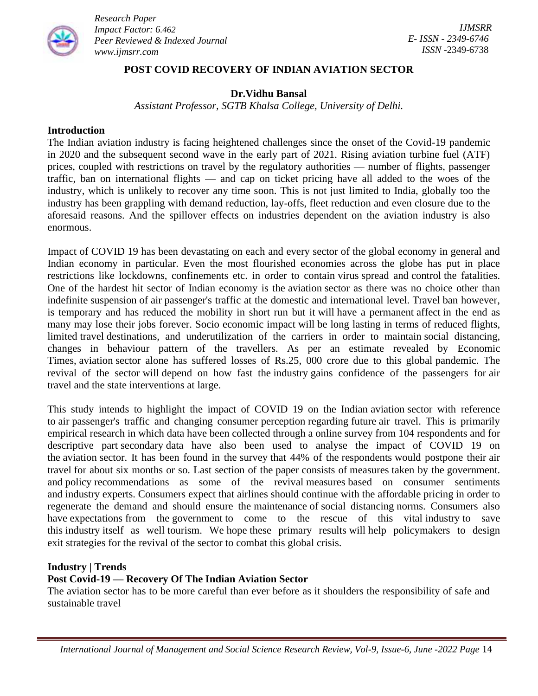

## **POST COVID RECOVERY OF INDIAN AVIATION SECTOR**

# **Dr.Vidhu Bansal**

*Assistant Professor, SGTB Khalsa College, University of Delhi.*

#### **Introduction**

The Indian aviation industry is facing heightened challenges since the onset of the Covid-19 pandemic in 2020 and the subsequent second wave in the early part of 2021. Rising aviation turbine fuel (ATF) prices, coupled with restrictions on travel by the regulatory authorities — number of flights, passenger traffic, ban on international flights — and cap on ticket pricing have all added to the woes of the industry, which is unlikely to recover any time soon. This is not just limited to India, globally too the industry has been grappling with demand reduction, lay-offs, fleet reduction and even closure due to the aforesaid reasons. And the spillover effects on industries dependent on the aviation industry is also enormous.

Impact of COVID 19 has been devastating on each and every sector of the global economy in general and Indian economy in particular. Even the most flourished economies across the globe has put in place restrictions like lockdowns, confinements etc. in order to contain virus spread and control the fatalities. One of the hardest hit sector of Indian economy is the aviation sector as there was no choice other than indefinite suspension of air passenger's traffic at the domestic and international level. Travel ban however, is temporary and has reduced the mobility in short run but it will have a permanent affect in the end as many may lose their jobs forever. Socio economic impact will be long lasting in terms of reduced flights, limited travel destinations, and underutilization of the carriers in order to maintain social distancing, changes in behaviour pattern of the travellers. As per an estimate revealed by Economic Times, aviation sector alone has suffered losses of Rs.25, 000 crore due to this global pandemic. The revival of the sector will depend on how fast the industry gains confidence of the passengers for air travel and the state interventions at large.

This study intends to highlight the impact of COVID 19 on the Indian aviation sector with reference to air passenger's traffic and changing consumer perception regarding future air travel. This is primarily empirical research in which data have been collected through a online survey from 104 respondents and for descriptive part secondary data have also been used to analyse the impact of COVID 19 on the aviation sector. It has been found in the survey that 44% of the respondents would postpone their air travel for about six months or so. Last section of the paper consists of measures taken by the government. and policy recommendations as some of the revival measures based on consumer sentiments and industry experts. Consumers expect that airlines should continue with the affordable pricing in order to regenerate the demand and should ensure the maintenance of social distancing norms. Consumers also have expectations from the government to come to the rescue of this vital industry to save this industry itself as well tourism. We hope these primary results will help policymakers to design exit strategies for the revival of the sector to combat this global crisis.

### **Industry | Trends**

# **Post Covid-19 — Recovery Of The Indian Aviation Sector**

The aviation sector has to be more careful than ever before as it shoulders the responsibility of safe and sustainable travel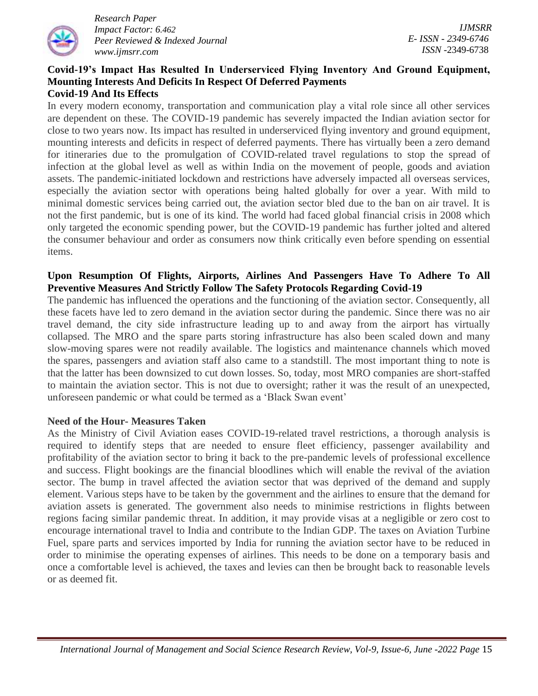

*IJMSRR E- ISSN - 2349-6746 ISSN -*2349-6738

#### **Covid-19's Impact Has Resulted In Underserviced Flying Inventory And Ground Equipment, Mounting Interests And Deficits In Respect Of Deferred Payments Covid-19 And Its Effects**

In every modern economy, transportation and communication play a vital role since all other services are dependent on these. The COVID-19 pandemic has severely impacted the Indian aviation sector for close to two years now. Its impact has resulted in underserviced flying inventory and ground equipment, mounting interests and deficits in respect of deferred payments. There has virtually been a zero demand for itineraries due to the promulgation of COVID-related travel regulations to stop the spread of infection at the global level as well as within India on the movement of people, goods and aviation assets. The pandemic-initiated lockdown and restrictions have adversely impacted all overseas services, especially the aviation sector with operations being halted globally for over a year. With mild to minimal domestic services being carried out, the aviation sector bled due to the ban on air travel. It is not the first pandemic, but is one of its kind. The world had faced global financial crisis in 2008 which only targeted the economic spending power, but the COVID-19 pandemic has further jolted and altered the consumer behaviour and order as consumers now think critically even before spending on essential items.

# **Upon Resumption Of Flights, Airports, Airlines And Passengers Have To Adhere To All Preventive Measures And Strictly Follow The Safety Protocols Regarding Covid-19**

The pandemic has influenced the operations and the functioning of the aviation sector. Consequently, all these facets have led to zero demand in the aviation sector during the pandemic. Since there was no air travel demand, the city side infrastructure leading up to and away from the airport has virtually collapsed. The MRO and the spare parts storing infrastructure has also been scaled down and many slow-moving spares were not readily available. The logistics and maintenance channels which moved the spares, passengers and aviation staff also came to a standstill. The most important thing to note is that the latter has been downsized to cut down losses. So, today, most MRO companies are short-staffed to maintain the aviation sector. This is not due to oversight; rather it was the result of an unexpected, unforeseen pandemic or what could be termed as a 'Black Swan event'

### **Need of the Hour- Measures Taken**

As the Ministry of Civil Aviation eases COVID-19-related travel restrictions, a thorough analysis is required to identify steps that are needed to ensure fleet efficiency, passenger availability and profitability of the aviation sector to bring it back to the pre-pandemic levels of professional excellence and success. Flight bookings are the financial bloodlines which will enable the revival of the aviation sector. The bump in travel affected the aviation sector that was deprived of the demand and supply element. Various steps have to be taken by the government and the airlines to ensure that the demand for aviation assets is generated. The government also needs to minimise restrictions in flights between regions facing similar pandemic threat. In addition, it may provide visas at a negligible or zero cost to encourage international travel to India and contribute to the Indian GDP. The taxes on Aviation Turbine Fuel, spare parts and services imported by India for running the aviation sector have to be reduced in order to minimise the operating expenses of airlines. This needs to be done on a temporary basis and once a comfortable level is achieved, the taxes and levies can then be brought back to reasonable levels or as deemed fit.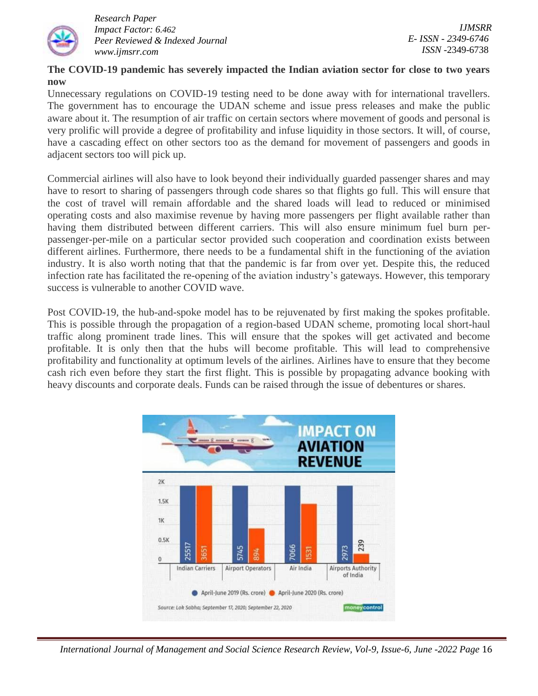

*IJMSRR E- ISSN - 2349-6746 ISSN -*2349-6738

## **The COVID-19 pandemic has severely impacted the Indian aviation sector for close to two years now**

Unnecessary regulations on COVID-19 testing need to be done away with for international travellers. The government has to encourage the UDAN scheme and issue press releases and make the public aware about it. The resumption of air traffic on certain sectors where movement of goods and personal is very prolific will provide a degree of profitability and infuse liquidity in those sectors. It will, of course, have a cascading effect on other sectors too as the demand for movement of passengers and goods in adjacent sectors too will pick up.

Commercial airlines will also have to look beyond their individually guarded passenger shares and may have to resort to sharing of passengers through code shares so that flights go full. This will ensure that the cost of travel will remain affordable and the shared loads will lead to reduced or minimised operating costs and also maximise revenue by having more passengers per flight available rather than having them distributed between different carriers. This will also ensure minimum fuel burn perpassenger-per-mile on a particular sector provided such cooperation and coordination exists between different airlines. Furthermore, there needs to be a fundamental shift in the functioning of the aviation industry. It is also worth noting that that the pandemic is far from over yet. Despite this, the reduced infection rate has facilitated the re-opening of the aviation industry's gateways. However, this temporary success is vulnerable to another COVID wave.

Post COVID-19, the hub-and-spoke model has to be rejuvenated by first making the spokes profitable. This is possible through the propagation of a region-based UDAN scheme, promoting local short-haul traffic along prominent trade lines. This will ensure that the spokes will get activated and become profitable. It is only then that the hubs will become profitable. This will lead to comprehensive profitability and functionality at optimum levels of the airlines. Airlines have to ensure that they become cash rich even before they start the first flight. This is possible by propagating advance booking with heavy discounts and corporate deals. Funds can be raised through the issue of debentures or shares.



 *International Journal of Management and Social Science Research Review, Vol-9, Issue-6, June -2022 Page* 16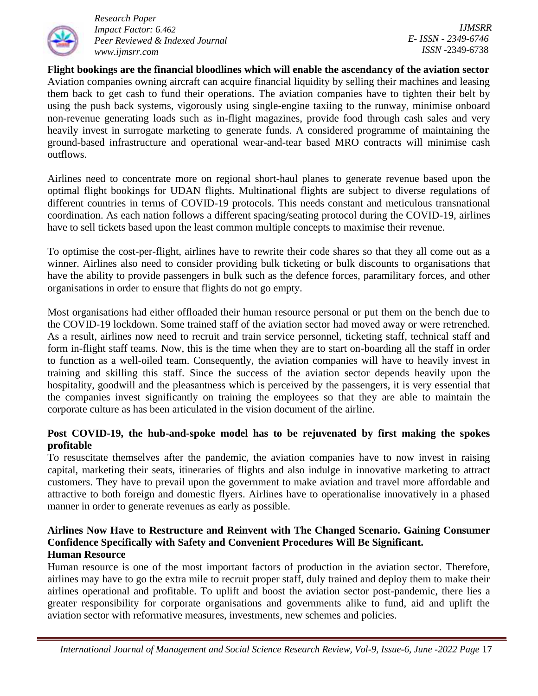

*IJMSRR E- ISSN - 2349-6746 ISSN -*2349-6738

**Flight bookings are the financial bloodlines which will enable the ascendancy of the aviation sector** Aviation companies owning aircraft can acquire financial liquidity by selling their machines and leasing them back to get cash to fund their operations. The aviation companies have to tighten their belt by using the push back systems, vigorously using single-engine taxiing to the runway, minimise onboard non-revenue generating loads such as in-flight magazines, provide food through cash sales and very heavily invest in surrogate marketing to generate funds. A considered programme of maintaining the ground-based infrastructure and operational wear-and-tear based MRO contracts will minimise cash outflows.

Airlines need to concentrate more on regional short-haul planes to generate revenue based upon the optimal flight bookings for UDAN flights. Multinational flights are subject to diverse regulations of different countries in terms of COVID-19 protocols. This needs constant and meticulous transnational coordination. As each nation follows a different spacing/seating protocol during the COVID-19, airlines have to sell tickets based upon the least common multiple concepts to maximise their revenue.

To optimise the cost-per-flight, airlines have to rewrite their code shares so that they all come out as a winner. Airlines also need to consider providing bulk ticketing or bulk discounts to organisations that have the ability to provide passengers in bulk such as the defence forces, paramilitary forces, and other organisations in order to ensure that flights do not go empty.

Most organisations had either offloaded their human resource personal or put them on the bench due to the COVID-19 lockdown. Some trained staff of the aviation sector had moved away or were retrenched. As a result, airlines now need to recruit and train service personnel, ticketing staff, technical staff and form in-flight staff teams. Now, this is the time when they are to start on-boarding all the staff in order to function as a well-oiled team. Consequently, the aviation companies will have to heavily invest in training and skilling this staff. Since the success of the aviation sector depends heavily upon the hospitality, goodwill and the pleasantness which is perceived by the passengers, it is very essential that the companies invest significantly on training the employees so that they are able to maintain the corporate culture as has been articulated in the vision document of the airline.

# **Post COVID-19, the hub-and-spoke model has to be rejuvenated by first making the spokes profitable**

To resuscitate themselves after the pandemic, the aviation companies have to now invest in raising capital, marketing their seats, itineraries of flights and also indulge in innovative marketing to attract customers. They have to prevail upon the government to make aviation and travel more affordable and attractive to both foreign and domestic flyers. Airlines have to operationalise innovatively in a phased manner in order to generate revenues as early as possible.

### **Airlines Now Have to Restructure and Reinvent with The Changed Scenario. Gaining Consumer Confidence Specifically with Safety and Convenient Procedures Will Be Significant. Human Resource**

Human resource is one of the most important factors of production in the aviation sector. Therefore, airlines may have to go the extra mile to recruit proper staff, duly trained and deploy them to make their airlines operational and profitable. To uplift and boost the aviation sector post-pandemic, there lies a greater responsibility for corporate organisations and governments alike to fund, aid and uplift the aviation sector with reformative measures, investments, new schemes and policies.